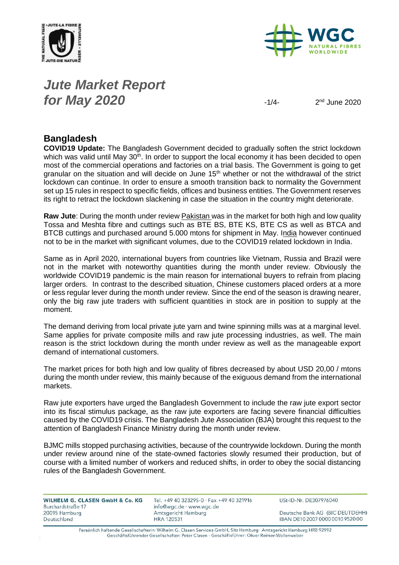



## *Jute Market Report for May* **2020**  $-1/4$

 $2<sup>nd</sup>$  June  $2020$ 

#### **Bangladesh**

**COVID19 Update:** The Bangladesh Government decided to gradually soften the strict lockdown which was valid until May 30<sup>th</sup>. In order to support the local economy it has been decided to open most of the commercial operations and factories on a trial basis. The Government is going to get granular on the situation and will decide on June 15<sup>th</sup> whether or not the withdrawal of the strict lockdown can continue. In order to ensure a smooth transition back to normality the Government set up 15 rules in respect to specific fields, offices and business entities. The Government reserves its right to retract the lockdown slackening in case the situation in the country might deteriorate.

**Raw Jute**: During the month under review Pakistan was in the market for both high and low quality Tossa and Meshta fibre and cuttings such as BTE BS, BTE KS, BTE CS as well as BTCA and BTCB cuttings and purchased around 5.000 mtons for shipment in May. India however continued not to be in the market with significant volumes, due to the COVID19 related lockdown in India.

Same as in April 2020, international buyers from countries like Vietnam, Russia and Brazil were not in the market with noteworthy quantities during the month under review. Obviously the worldwide COVID19 pandemic is the main reason for international buyers to refrain from placing larger orders. In contrast to the described situation, Chinese customers placed orders at a more or less regular lever during the month under review. Since the end of the season is drawing nearer, only the big raw jute traders with sufficient quantities in stock are in position to supply at the moment.

The demand deriving from local private jute yarn and twine spinning mills was at a marginal level. Same applies for private composite mills and raw jute processing industries, as well. The main reason is the strict lockdown during the month under review as well as the manageable export demand of international customers.

The market prices for both high and low quality of fibres decreased by about USD 20,00 / mtons during the month under review, this mainly because of the exiguous demand from the international markets.

Raw jute exporters have urged the Bangladesh Government to include the raw jute export sector into its fiscal stimulus package, as the raw jute exporters are facing severe financial difficulties caused by the COVID19 crisis. The Bangladesh Jute Association (BJA) brought this request to the attention of Bangladesh Finance Ministry during the month under review.

BJMC mills stopped purchasing activities, because of the countrywide lockdown. During the month under review around nine of the state-owned factories slowly resumed their production, but of course with a limited number of workers and reduced shifts, in order to obey the social distancing rules of the Bangladesh Government.

| WILHELM G. CLASEN GmbH & Co. KG | Tel. +49 40 323295-0 · Fax +49 40 321916 | USt-ID-Nr. DE307976040           |
|---------------------------------|------------------------------------------|----------------------------------|
| Burchardstraße 17               | info@wgc.de · www.wgc.de                 |                                  |
| 20095 Hamburg                   | Amtsgericht Hamburg                      | Deutsche Bank AG (BIC DEUTDEHH)  |
| Deutschland                     | <b>HRA 120531</b>                        | IBAN DE10 2007 0000 0010 9520 00 |
|                                 |                                          |                                  |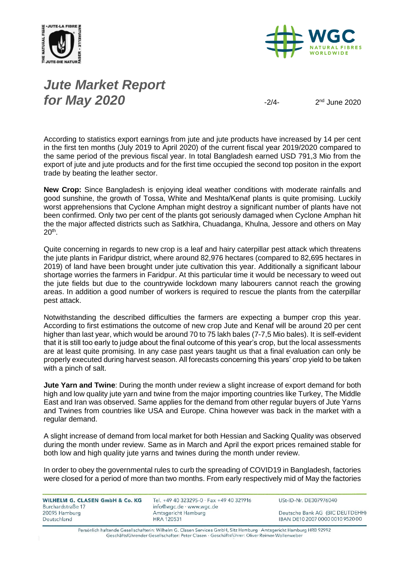



# *Jute Market Report for May* **2020**  $\frac{2}{4}$

 $2<sup>nd</sup>$  June  $2020$ 

According to statistics export earnings from jute and jute products have increased by 14 per cent in the first ten months (July 2019 to April 2020) of the current fiscal year 2019/2020 compared to the same period of the previous fiscal year. In total Bangladesh earned USD 791,3 Mio from the export of jute and jute products and for the first time occupied the second top positon in the export trade by beating the leather sector.

**New Crop:** Since Bangladesh is enjoying ideal weather conditions with moderate rainfalls and good sunshine, the growth of Tossa, White and Meshta/Kenaf plants is quite promising. Luckily worst apprehensions that Cyclone Amphan might destroy a significant number of plants have not been confirmed. Only two per cent of the plants got seriously damaged when Cyclone Amphan hit the the major affected districts such as Satkhira, Chuadanga, Khulna, Jessore and others on May  $20<sup>th</sup>$ .

Quite concerning in regards to new crop is a leaf and hairy caterpillar pest attack which threatens the jute plants in Faridpur district, where around 82,976 hectares (compared to 82,695 hectares in 2019) of land have been brought under jute cultivation this year. Additionally a significant labour shortage worries the farmers in Faridpur. At this particular time it would be necessary to weed out the jute fields but due to the countrywide lockdown many labourers cannot reach the growing areas. In addition a good number of workers is required to rescue the plants from the caterpillar pest attack.

Notwithstanding the described difficulties the farmers are expecting a bumper crop this year. According to first estimations the outcome of new crop Jute and Kenaf will be around 20 per cent higher than last year, which would be around 70 to 75 lakh bales (7-7,5 Mio bales). It is self-evident that it is still too early to judge about the final outcome of this year's crop, but the local assessments are at least quite promising. In any case past years taught us that a final evaluation can only be properly executed during harvest season. All forecasts concerning this years' crop yield to be taken with a pinch of salt.

**Jute Yarn and Twine**: During the month under review a slight increase of export demand for both high and low quality jute yarn and twine from the major importing countries like Turkey, The Middle East and Iran was observed. Same applies for the demand from other regular buyers of Jute Yarns and Twines from countries like USA and Europe. China however was back in the market with a regular demand.

A slight increase of demand from local market for both Hessian and Sacking Quality was observed during the month under review. Same as in March and April the export prices remained stable for both low and high quality jute yarns and twines during the month under review.

In order to obey the governmental rules to curb the spreading of COVID19 in Bangladesh, factories were closed for a period of more than two months. From early respectively mid of May the factories

WILHELM G. CLASEN GmbH & Co. KG Burchardstraße 17 20095 Hamburg Deutschland

Tel. +49 40 323295-0 · Fax +49 40 321916 info@wgc.de · www.wgc.de Amtsgericht Hamburg **HRA 120531** 

USt-ID-Nr. DE307976040

Deutsche Bank AG (BIC DEUTDEHH) IBAN DE10 2007 0000 0010 9520 00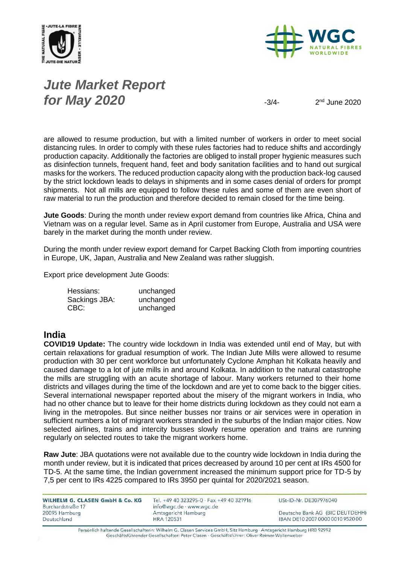



# *Jute Market Report for May 2020*  $\frac{3}{4}$

 $2<sup>nd</sup>$  June  $2020$ 

are allowed to resume production, but with a limited number of workers in order to meet social distancing rules. In order to comply with these rules factories had to reduce shifts and accordingly production capacity. Additionally the factories are obliged to install proper hygienic measures such as disinfection tunnels, frequent hand, feet and body sanitation facilities and to hand out surgical masks for the workers. The reduced production capacity along with the production back-log caused by the strict lockdown leads to delays in shipments and in some cases denial of orders for prompt shipments. Not all mills are equipped to follow these rules and some of them are even short of raw material to run the production and therefore decided to remain closed for the time being.

**Jute Goods**: During the month under review export demand from countries like Africa, China and Vietnam was on a regular level. Same as in April customer from Europe, Australia and USA were barely in the market during the month under review.

During the month under review export demand for Carpet Backing Cloth from importing countries in Europe, UK, Japan, Australia and New Zealand was rather sluggish.

Export price development Jute Goods:

| Hessians:     | unchanged |
|---------------|-----------|
| Sackings JBA: | unchanged |
| CBC:          | unchanged |

#### **India**

**COVID19 Update:** The country wide lockdown in India was extended until end of May, but with certain relaxations for gradual resumption of work. The Indian Jute Mills were allowed to resume production with 30 per cent workforce but unfortunately Cyclone Amphan hit Kolkata heavily and caused damage to a lot of jute mills in and around Kolkata. In addition to the natural catastrophe the mills are struggling with an acute shortage of labour. Many workers returned to their home districts and villages during the time of the lockdown and are yet to come back to the bigger cities. Several international newspaper reported about the misery of the migrant workers in India, who had no other chance but to leave for their home districts during lockdown as they could not earn a living in the metropoles. But since neither busses nor trains or air services were in operation in sufficient numbers a lot of migrant workers stranded in the suburbs of the Indian major cities. Now selected airlines, trains and intercity busses slowly resume operation and trains are running regularly on selected routes to take the migrant workers home.

**Raw Jute**: JBA quotations were not available due to the country wide lockdown in India during the month under review, but it is indicated that prices decreased by around 10 per cent at IRs 4500 for TD-5. At the same time, the Indian government increased the minimum support price for TD-5 by 7,5 per cent to IRs 4225 compared to IRs 3950 per quintal for 2020/2021 season.

| WILHELM G. CLASEN GmbH & Co. KG<br>Burchardstraße 17 | Tel. +49 40 323295-0 $\cdot$ Fax +49 40 321916<br>info@wgc.de · www.wgc.de | USt-ID-Nr. DE307976040                                              |
|------------------------------------------------------|----------------------------------------------------------------------------|---------------------------------------------------------------------|
| 20095 Hamburg<br>Deutschland                         | Amtsgericht Hamburg<br><b>HRA 120531</b>                                   | Deutsche Bank AG (BIC DEUTDEHH)<br>IBAN DE10 2007 0000 0010 9520 00 |
|                                                      |                                                                            |                                                                     |